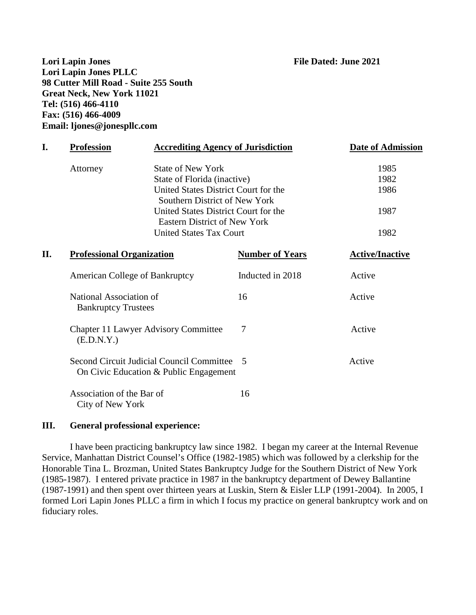**Lori Lapin Jones File Dated: June 2021 Lori Lapin Jones PLLC 98 Cutter Mill Road - Suite 255 South Great Neck, New York 11021 Tel: (516) 466-4110 Fax: (516) 466-4009 Email: ljones@jonespllc.com**

| I.                                    | <b>Profession</b><br><b>Accrediting Agency of Jurisdiction</b>                                                                                                                                                   |                                |                                                                                                                                                                                     | <b>Date of Admission</b> |
|---------------------------------------|------------------------------------------------------------------------------------------------------------------------------------------------------------------------------------------------------------------|--------------------------------|-------------------------------------------------------------------------------------------------------------------------------------------------------------------------------------|--------------------------|
|                                       | Attorney                                                                                                                                                                                                         | <b>State of New York</b>       | State of Florida (inactive)<br>United States District Court for the<br>Southern District of New York<br>United States District Court for the<br><b>Eastern District of New York</b> |                          |
|                                       |                                                                                                                                                                                                                  |                                |                                                                                                                                                                                     |                          |
|                                       |                                                                                                                                                                                                                  | <b>United States Tax Court</b> |                                                                                                                                                                                     | 1982                     |
| П.                                    | <b>Professional Organization</b>                                                                                                                                                                                 |                                | <b>Number of Years</b>                                                                                                                                                              | <b>Active/Inactive</b>   |
| <b>American College of Bankruptcy</b> |                                                                                                                                                                                                                  |                                | Inducted in 2018                                                                                                                                                                    | Active                   |
|                                       | National Association of<br><b>Bankruptcy Trustees</b><br><b>Chapter 11 Lawyer Advisory Committee</b><br>(E.D.N.Y.)<br><b>Second Circuit Judicial Council Committee</b><br>On Civic Education & Public Engagement |                                | 16                                                                                                                                                                                  | Active                   |
|                                       |                                                                                                                                                                                                                  |                                | 7                                                                                                                                                                                   | Active                   |
|                                       |                                                                                                                                                                                                                  |                                | -5                                                                                                                                                                                  | Active                   |
|                                       | Association of the Bar of<br>City of New York                                                                                                                                                                    |                                | 16                                                                                                                                                                                  |                          |

#### **III. General professional experience:**

I have been practicing bankruptcy law since 1982. I began my career at the Internal Revenue Service, Manhattan District Counsel's Office (1982-1985) which was followed by a clerkship for the Honorable Tina L. Brozman, United States Bankruptcy Judge for the Southern District of New York (1985-1987). I entered private practice in 1987 in the bankruptcy department of Dewey Ballantine (1987-1991) and then spent over thirteen years at Luskin, Stern & Eisler LLP (1991-2004). In 2005, I formed Lori Lapin Jones PLLC a firm in which I focus my practice on general bankruptcy work and on fiduciary roles.